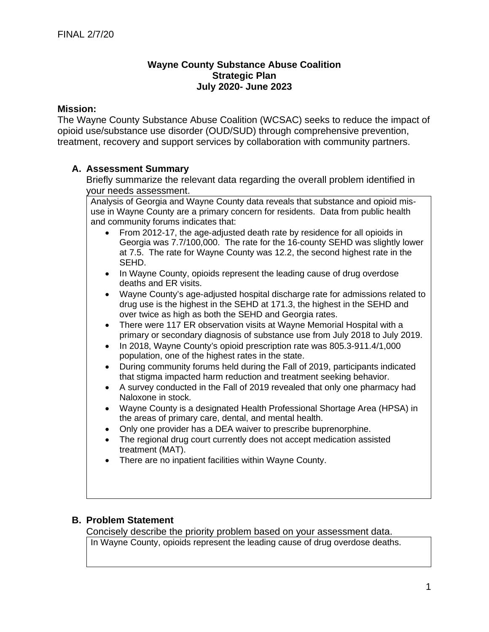## **Wayne County Substance Abuse Coalition Strategic Plan July 2020- June 2023**

## **Mission:**

The Wayne County Substance Abuse Coalition (WCSAC) seeks to reduce the impact of opioid use/substance use disorder (OUD/SUD) through comprehensive prevention, treatment, recovery and support services by collaboration with community partners.

# **A. Assessment Summary**

Briefly summarize the relevant data regarding the overall problem identified in your needs assessment.

Analysis of Georgia and Wayne County data reveals that substance and opioid misuse in Wayne County are a primary concern for residents. Data from public health and community forums indicates that:

- From 2012-17, the age-adjusted death rate by residence for all opioids in Georgia was 7.7/100,000. The rate for the 16-county SEHD was slightly lower at 7.5. The rate for Wayne County was 12.2, the second highest rate in the SEHD.
- In Wayne County, opioids represent the leading cause of drug overdose deaths and ER visits.
- Wayne County's age-adjusted hospital discharge rate for admissions related to drug use is the highest in the SEHD at 171.3, the highest in the SEHD and over twice as high as both the SEHD and Georgia rates.
- There were 117 ER observation visits at Wayne Memorial Hospital with a primary or secondary diagnosis of substance use from July 2018 to July 2019.
- In 2018, Wayne County's opioid prescription rate was 805.3-911.4/1,000 population, one of the highest rates in the state.
- During community forums held during the Fall of 2019, participants indicated that stigma impacted harm reduction and treatment seeking behavior.
- A survey conducted in the Fall of 2019 revealed that only one pharmacy had Naloxone in stock.
- Wayne County is a designated Health Professional Shortage Area (HPSA) in the areas of primary care, dental, and mental health.
- Only one provider has a DEA waiver to prescribe buprenorphine.
- The regional drug court currently does not accept medication assisted treatment (MAT).
- There are no inpatient facilities within Wayne County.

# **B. Problem Statement**

Concisely describe the priority problem based on your assessment data.

In Wayne County, opioids represent the leading cause of drug overdose deaths.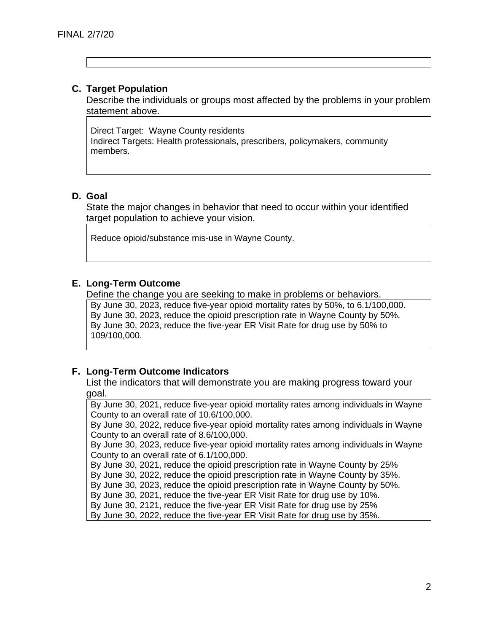## **C. Target Population**

Describe the individuals or groups most affected by the problems in your problem statement above.

Direct Target: Wayne County residents Indirect Targets: Health professionals, prescribers, policymakers, community members.

## **D. Goal**

State the major changes in behavior that need to occur within your identified target population to achieve your vision.

Reduce opioid/substance mis-use in Wayne County.

## **E. Long-Term Outcome**

Define the change you are seeking to make in problems or behaviors.

By June 30, 2023, reduce five-year opioid mortality rates by 50%, to 6.1/100,000. By June 30, 2023, reduce the opioid prescription rate in Wayne County by 50%. By June 30, 2023, reduce the five-year ER Visit Rate for drug use by 50% to 109/100,000.

## **F. Long-Term Outcome Indicators**

List the indicators that will demonstrate you are making progress toward your goal.

By June 30, 2021, reduce five-year opioid mortality rates among individuals in Wayne County to an overall rate of 10.6/100,000.

By June 30, 2022, reduce five-year opioid mortality rates among individuals in Wayne County to an overall rate of 8.6/100,000.

By June 30, 2023, reduce five-year opioid mortality rates among individuals in Wayne County to an overall rate of 6.1/100,000.

By June 30, 2021, reduce the opioid prescription rate in Wayne County by 25%

By June 30, 2022, reduce the opioid prescription rate in Wayne County by 35%.

By June 30, 2023, reduce the opioid prescription rate in Wayne County by 50%.

By June 30, 2021, reduce the five-year ER Visit Rate for drug use by 10%.

By June 30, 2121, reduce the five-year ER Visit Rate for drug use by 25%

By June 30, 2022, reduce the five-year ER Visit Rate for drug use by 35%.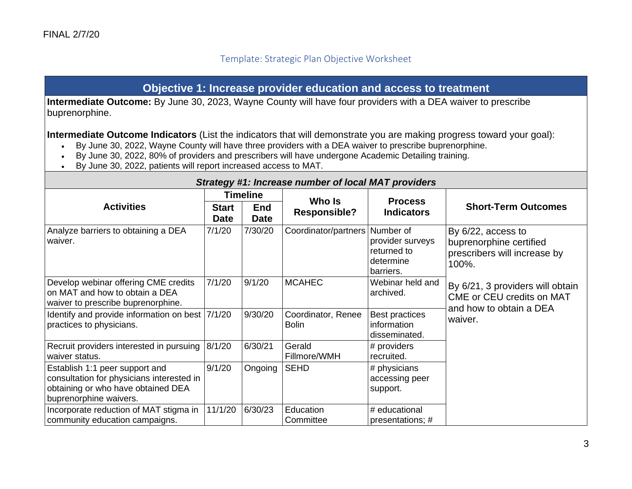# Template: Strategic Plan Objective Worksheet

# **Objective 1: Increase provider education and access to treatment**

**Intermediate Outcome:** By June 30, 2023, Wayne County will have four providers with a DEA waiver to prescribe buprenorphine.

**Intermediate Outcome Indicators** (List the indicators that will demonstrate you are making progress toward your goal):

- By June 30, 2022, Wayne County will have three providers with a DEA waiver to prescribe buprenorphine.
- By June 30, 2022, 80% of providers and prescribers will have undergone Academic Detailing training.
- By June 30, 2022, patients will report increased access to MAT.

|                                                                                                                                             | <u>Jualcy HI. McIcase Humber Of IOCAI MAT providers</u> |                           |                                    |                                                           |                                                                                          |  |
|---------------------------------------------------------------------------------------------------------------------------------------------|---------------------------------------------------------|---------------------------|------------------------------------|-----------------------------------------------------------|------------------------------------------------------------------------------------------|--|
|                                                                                                                                             |                                                         | <b>Timeline</b>           | Who Is                             |                                                           |                                                                                          |  |
| <b>Activities</b>                                                                                                                           | <b>Start</b><br><b>Date</b>                             | <b>End</b><br><b>Date</b> | <b>Responsible?</b>                | <b>Process</b><br><b>Indicators</b>                       | <b>Short-Term Outcomes</b>                                                               |  |
| Analyze barriers to obtaining a DEA<br>waiver.                                                                                              | 7/1/20                                                  | 7/30/20                   | Coordinator/partners Number of     | provider surveys<br>returned to<br>determine<br>barriers. | By 6/22, access to<br>buprenorphine certified<br>prescribers will increase by<br>100%.   |  |
| Develop webinar offering CME credits<br>on MAT and how to obtain a DEA<br>waiver to prescribe buprenorphine.                                | 7/1/20                                                  | 9/1/20                    | <b>MCAHEC</b>                      | Webinar held and<br>archived.                             | By 6/21, 3 providers will obtain<br>CME or CEU credits on MAT<br>and how to obtain a DEA |  |
| Identify and provide information on best   7/1/20<br>practices to physicians.                                                               |                                                         | 9/30/20                   | Coordinator, Renee<br><b>Bolin</b> | Best practices<br>information<br>disseminated.            | waiver.                                                                                  |  |
| Recruit providers interested in pursuing<br>waiver status.                                                                                  | 8/1/20                                                  | 6/30/21                   | Gerald<br>Fillmore/WMH             | # providers<br>recruited.                                 |                                                                                          |  |
| Establish 1:1 peer support and<br>consultation for physicians interested in<br>obtaining or who have obtained DEA<br>buprenorphine waivers. | 9/1/20                                                  | Ongoing                   | <b>SEHD</b>                        | # physicians<br>accessing peer<br>support.                |                                                                                          |  |
| Incorporate reduction of MAT stigma in<br>community education campaigns.                                                                    | 11/1/20                                                 | 6/30/23                   | Education<br>Committee             | # educational<br>presentations; #                         |                                                                                          |  |

#### *Strategy #1: Increase number of local MAT providers*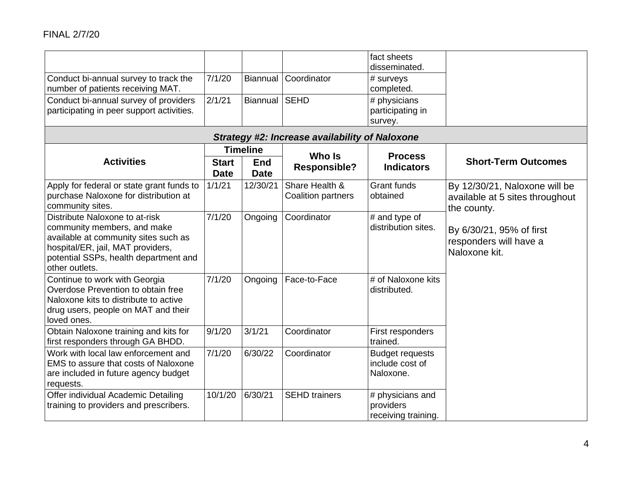| Conduct bi-annual survey to track the<br>number of patients receiving MAT.<br>Conduct bi-annual survey of providers<br>participating in peer support activities.                                      | 7/1/20<br>2/1/21            | Biannual<br>Biannual      | Coordinator<br><b>SEHD</b>                            | fact sheets<br>disseminated.<br># surveys<br>completed.<br># physicians<br>participating in<br>survey. |                                                                                 |
|-------------------------------------------------------------------------------------------------------------------------------------------------------------------------------------------------------|-----------------------------|---------------------------|-------------------------------------------------------|--------------------------------------------------------------------------------------------------------|---------------------------------------------------------------------------------|
|                                                                                                                                                                                                       |                             |                           | <b>Strategy #2: Increase availability of Naloxone</b> |                                                                                                        |                                                                                 |
|                                                                                                                                                                                                       |                             | <b>Timeline</b>           | Who Is                                                | <b>Process</b>                                                                                         |                                                                                 |
| <b>Activities</b>                                                                                                                                                                                     | <b>Start</b><br><b>Date</b> | <b>End</b><br><b>Date</b> | <b>Responsible?</b>                                   | <b>Indicators</b>                                                                                      | <b>Short-Term Outcomes</b>                                                      |
| Apply for federal or state grant funds to<br>purchase Naloxone for distribution at<br>community sites.                                                                                                | 1/1/21                      | 12/30/21                  | Share Health &<br>Coalition partners                  | <b>Grant funds</b><br>obtained                                                                         | By 12/30/21, Naloxone will be<br>available at 5 sites throughout<br>the county. |
| Distribute Naloxone to at-risk<br>community members, and make<br>available at community sites such as<br>hospital/ER, jail, MAT providers,<br>potential SSPs, health department and<br>other outlets. | 7/1/20                      | Ongoing                   | Coordinator                                           | # and type of<br>distribution sites.                                                                   | By 6/30/21, 95% of first<br>responders will have a<br>Naloxone kit.             |
| Continue to work with Georgia<br>Overdose Prevention to obtain free<br>Naloxone kits to distribute to active<br>drug users, people on MAT and their<br>loved ones.                                    | 7/1/20                      | Ongoing                   | Face-to-Face                                          | # of Naloxone kits<br>distributed.                                                                     |                                                                                 |
| Obtain Naloxone training and kits for<br>first responders through GA BHDD.                                                                                                                            | 9/1/20                      | 3/1/21                    | Coordinator                                           | First responders<br>trained.                                                                           |                                                                                 |
| Work with local law enforcement and<br>EMS to assure that costs of Naloxone<br>are included in future agency budget<br>requests.                                                                      | 7/1/20                      | 6/30/22                   | Coordinator                                           | <b>Budget requests</b><br>include cost of<br>Naloxone.                                                 |                                                                                 |
| Offer individual Academic Detailing<br>training to providers and prescribers.                                                                                                                         | 10/1/20                     | 6/30/21                   | <b>SEHD</b> trainers                                  | # physicians and<br>providers<br>receiving training.                                                   |                                                                                 |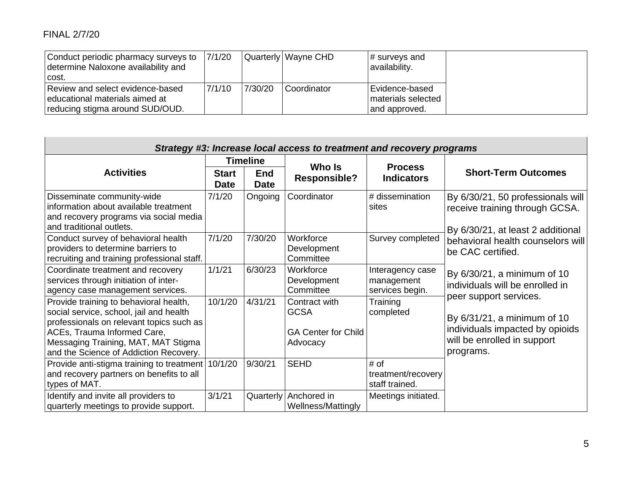# FINAL 2/7/20

| Conduct periodic pharmacy surveys to<br>determine Naloxone availability and<br>l cost.                | 7/1/20 |         | Quarterly   Wayne CHD | # surveys and<br>availability.                         |
|-------------------------------------------------------------------------------------------------------|--------|---------|-----------------------|--------------------------------------------------------|
| Review and select evidence-based<br>educational materials aimed at<br>reducing stigma around SUD/OUD. | 7/1/10 | 7/30/20 | Coordinator           | Evidence-based<br>materials selected<br>land approved. |

|                                                                                                                                                                                                                                               | Strategy #3: Increase local access to treatment and recovery programs |                           |                                                                        |                                                   |                                                                                                                                      |
|-----------------------------------------------------------------------------------------------------------------------------------------------------------------------------------------------------------------------------------------------|-----------------------------------------------------------------------|---------------------------|------------------------------------------------------------------------|---------------------------------------------------|--------------------------------------------------------------------------------------------------------------------------------------|
|                                                                                                                                                                                                                                               |                                                                       | <b>Timeline</b>           | Who Is                                                                 | <b>Process</b>                                    |                                                                                                                                      |
| <b>Activities</b>                                                                                                                                                                                                                             | <b>Start</b><br><b>Date</b>                                           | <b>End</b><br><b>Date</b> | <b>Responsible?</b>                                                    | <b>Indicators</b>                                 | <b>Short-Term Outcomes</b>                                                                                                           |
| Disseminate community-wide<br>information about available treatment<br>and recovery programs via social media<br>and traditional outlets.                                                                                                     | 7/1/20                                                                | Ongoing                   | Coordinator                                                            | # dissemination<br>sites                          | By 6/30/21, 50 professionals will<br>receive training through GCSA.<br>By 6/30/21, at least 2 additional                             |
| Conduct survey of behavioral health<br>providers to determine barriers to<br>recruiting and training professional staff.                                                                                                                      | 7/1/20                                                                | 7/30/20                   | Workforce<br>Development<br>Committee                                  | Survey completed                                  | behavioral health counselors will<br>be CAC certified.                                                                               |
| Coordinate treatment and recovery<br>services through initiation of inter-<br>agency case management services.                                                                                                                                | 1/1/21                                                                | 6/30/23                   | Workforce<br>Development<br>Committee                                  | Interagency case<br>management<br>services begin. | By 6/30/21, a minimum of 10<br>individuals will be enrolled in                                                                       |
| Provide training to behavioral health,<br>social service, school, jail and health<br>professionals on relevant topics such as<br>ACEs, Trauma Informed Care,<br>Messaging Training, MAT, MAT Stigma<br>and the Science of Addiction Recovery. | 10/1/20                                                               | 4/31/21                   | Contract with<br><b>GCSA</b><br><b>GA Center for Child</b><br>Advocacy | Training<br>completed                             | peer support services.<br>By 6/31/21, a minimum of 10<br>individuals impacted by opioids<br>will be enrolled in support<br>programs. |
| Provide anti-stigma training to treatment<br>and recovery partners on benefits to all<br>types of MAT.                                                                                                                                        | 10/1/20                                                               | 9/30/21                   | <b>SEHD</b>                                                            | # of<br>treatment/recovery<br>staff trained.      |                                                                                                                                      |
| Identify and invite all providers to<br>quarterly meetings to provide support.                                                                                                                                                                | 3/1/21                                                                | Quarterly                 | Anchored in<br>Wellness/Mattingly                                      | Meetings initiated.                               |                                                                                                                                      |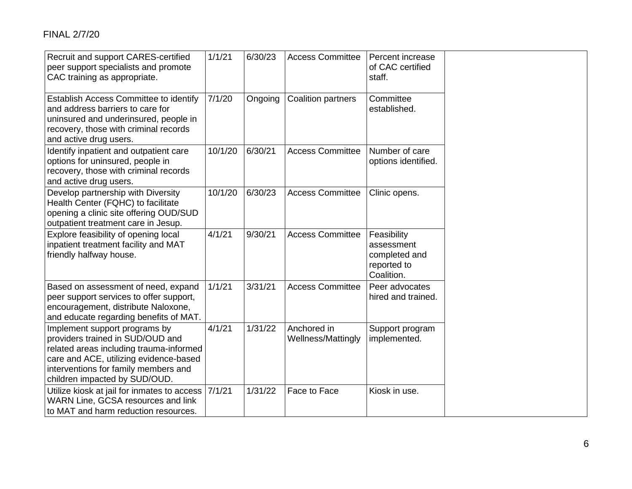FINAL 2/7/20

| Recruit and support CARES-certified<br>peer support specialists and promote<br>CAC training as appropriate.                                                                                                                     | 1/1/21  | 6/30/23 | <b>Access Committee</b>           | Percent increase<br>of CAC certified<br>staff.                          |  |
|---------------------------------------------------------------------------------------------------------------------------------------------------------------------------------------------------------------------------------|---------|---------|-----------------------------------|-------------------------------------------------------------------------|--|
| Establish Access Committee to identify<br>and address barriers to care for<br>uninsured and underinsured, people in<br>recovery, those with criminal records<br>and active drug users.                                          | 7/1/20  | Ongoing | <b>Coalition partners</b>         | Committee<br>established.                                               |  |
| Identify inpatient and outpatient care<br>options for uninsured, people in<br>recovery, those with criminal records<br>and active drug users.                                                                                   | 10/1/20 | 6/30/21 | <b>Access Committee</b>           | Number of care<br>options identified.                                   |  |
| Develop partnership with Diversity<br>Health Center (FQHC) to facilitate<br>opening a clinic site offering OUD/SUD<br>outpatient treatment care in Jesup.                                                                       | 10/1/20 | 6/30/23 | <b>Access Committee</b>           | Clinic opens.                                                           |  |
| Explore feasibility of opening local<br>inpatient treatment facility and MAT<br>friendly halfway house.                                                                                                                         | 4/1/21  | 9/30/21 | <b>Access Committee</b>           | Feasibility<br>assessment<br>completed and<br>reported to<br>Coalition. |  |
| Based on assessment of need, expand<br>peer support services to offer support,<br>encouragement, distribute Naloxone,<br>and educate regarding benefits of MAT.                                                                 | 1/1/21  | 3/31/21 | <b>Access Committee</b>           | Peer advocates<br>hired and trained.                                    |  |
| Implement support programs by<br>providers trained in SUD/OUD and<br>related areas including trauma-informed<br>care and ACE, utilizing evidence-based<br>interventions for family members and<br>children impacted by SUD/OUD. | 4/1/21  | 1/31/22 | Anchored in<br>Wellness/Mattingly | Support program<br>implemented.                                         |  |
| Utilize kiosk at jail for inmates to access<br>WARN Line, GCSA resources and link<br>to MAT and harm reduction resources.                                                                                                       | 7/1/21  | 1/31/22 | Face to Face                      | Kiosk in use.                                                           |  |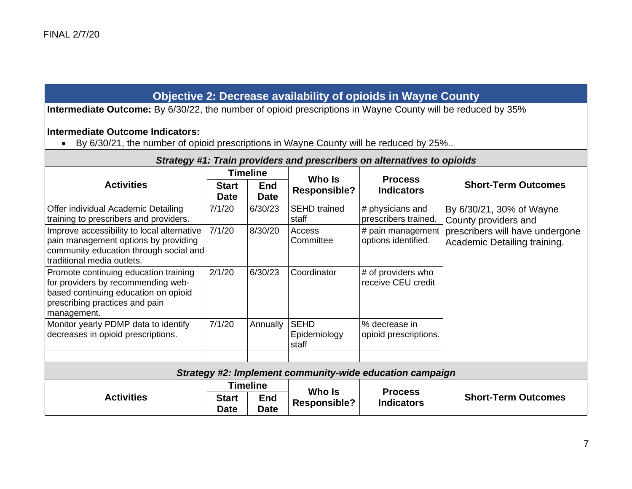# **Objective 2: Decrease availability of opioids in Wayne County**

**Intermediate Outcome:** By 6/30/22, the number of opioid prescriptions in Wayne County will be reduced by 35%

# **Intermediate Outcome Indicators:**

• By 6/30/21, the number of opioid prescriptions in Wayne County will be reduced by 25%..

|                                                                                                                                                                      | Strategy #1: Train providers and prescribers on alternatives to opioids |                           |                                      |                                                          |                                                                 |
|----------------------------------------------------------------------------------------------------------------------------------------------------------------------|-------------------------------------------------------------------------|---------------------------|--------------------------------------|----------------------------------------------------------|-----------------------------------------------------------------|
|                                                                                                                                                                      |                                                                         | <b>Timeline</b>           |                                      |                                                          |                                                                 |
| <b>Activities</b>                                                                                                                                                    | <b>Start</b><br><b>Date</b>                                             | <b>End</b><br><b>Date</b> | Who Is<br><b>Responsible?</b>        | <b>Process</b><br><b>Indicators</b>                      | <b>Short-Term Outcomes</b>                                      |
| Offer individual Academic Detailing<br>training to prescribers and providers.                                                                                        | 7/1/20                                                                  | 6/30/23                   | <b>SEHD</b> trained<br>staff         | # physicians and<br>prescribers trained.                 | By 6/30/21, 30% of Wayne<br>County providers and                |
| Improve accessibility to local alternative<br>pain management options by providing<br>community education through social and<br>traditional media outlets.           | 7/1/20                                                                  | 8/30/20                   | Access<br>Committee                  | # pain management<br>options identified.                 | prescribers will have undergone<br>Academic Detailing training. |
| Promote continuing education training<br>for providers by recommending web-<br>based continuing education on opioid<br>prescribing practices and pain<br>management. | 2/1/20                                                                  | 6/30/23                   | Coordinator                          | # of providers who<br>receive CEU credit                 |                                                                 |
| Monitor yearly PDMP data to identify<br>decreases in opioid prescriptions.                                                                                           | 7/1/20                                                                  | Annually                  | <b>SEHD</b><br>Epidemiology<br>staff | % decrease in<br>opioid prescriptions.                   |                                                                 |
|                                                                                                                                                                      |                                                                         |                           |                                      | Strategy #2: Implement community-wide education campaign |                                                                 |
|                                                                                                                                                                      |                                                                         | <b>Timeline</b>           |                                      |                                                          |                                                                 |
| <b>Activities</b>                                                                                                                                                    | <b>Start</b><br><b>Date</b>                                             | <b>End</b><br><b>Date</b> | Who Is<br><b>Responsible?</b>        | <b>Process</b><br><b>Indicators</b>                      | <b>Short-Term Outcomes</b>                                      |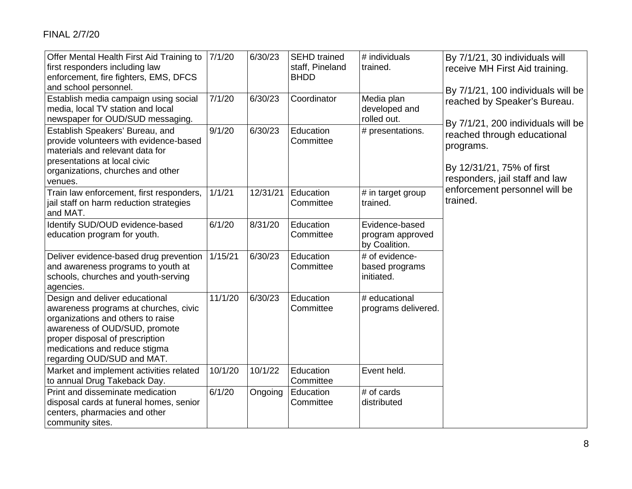| Offer Mental Health First Aid Training to<br>first responders including law<br>enforcement, fire fighters, EMS, DFCS<br>and school personnel.                                                                                                   | 7/1/20  | 6/30/23  | <b>SEHD</b> trained<br>staff, Pineland<br><b>BHDD</b> | # individuals<br>trained.                           | By 7/1/21, 30 individuals will<br>receive MH First Aid training.<br>By 7/1/21, 100 individuals will be  |
|-------------------------------------------------------------------------------------------------------------------------------------------------------------------------------------------------------------------------------------------------|---------|----------|-------------------------------------------------------|-----------------------------------------------------|---------------------------------------------------------------------------------------------------------|
| Establish media campaign using social<br>media, local TV station and local<br>newspaper for OUD/SUD messaging.                                                                                                                                  | 7/1/20  | 6/30/23  | Coordinator                                           | Media plan<br>developed and<br>rolled out.          | reached by Speaker's Bureau.<br>By 7/1/21, 200 individuals will be                                      |
| Establish Speakers' Bureau, and<br>provide volunteers with evidence-based<br>materials and relevant data for<br>presentations at local civic<br>organizations, churches and other<br>venues.                                                    | 9/1/20  | 6/30/23  | Education<br>Committee                                | # presentations.                                    | reached through educational<br>programs.<br>By 12/31/21, 75% of first<br>responders, jail staff and law |
| Train law enforcement, first responders,<br>jail staff on harm reduction strategies<br>and MAT.                                                                                                                                                 | 1/1/21  | 12/31/21 | Education<br>Committee                                | # in target group<br>trained.                       | enforcement personnel will be<br>trained.                                                               |
| Identify SUD/OUD evidence-based<br>education program for youth.                                                                                                                                                                                 | 6/1/20  | 8/31/20  | Education<br>Committee                                | Evidence-based<br>program approved<br>by Coalition. |                                                                                                         |
| Deliver evidence-based drug prevention<br>and awareness programs to youth at<br>schools, churches and youth-serving<br>agencies.                                                                                                                | 1/15/21 | 6/30/23  | Education<br>Committee                                | # of evidence-<br>based programs<br>initiated.      |                                                                                                         |
| Design and deliver educational<br>awareness programs at churches, civic<br>organizations and others to raise<br>awareness of OUD/SUD, promote<br>proper disposal of prescription<br>medications and reduce stigma<br>regarding OUD/SUD and MAT. | 11/1/20 | 6/30/23  | Education<br>Committee                                | # educational<br>programs delivered.                |                                                                                                         |
| Market and implement activities related<br>to annual Drug Takeback Day.                                                                                                                                                                         | 10/1/20 | 10/1/22  | Education<br>Committee                                | Event held.                                         |                                                                                                         |
| Print and disseminate medication<br>disposal cards at funeral homes, senior<br>centers, pharmacies and other<br>community sites.                                                                                                                | 6/1/20  | Ongoing  | Education<br>Committee                                | # of cards<br>distributed                           |                                                                                                         |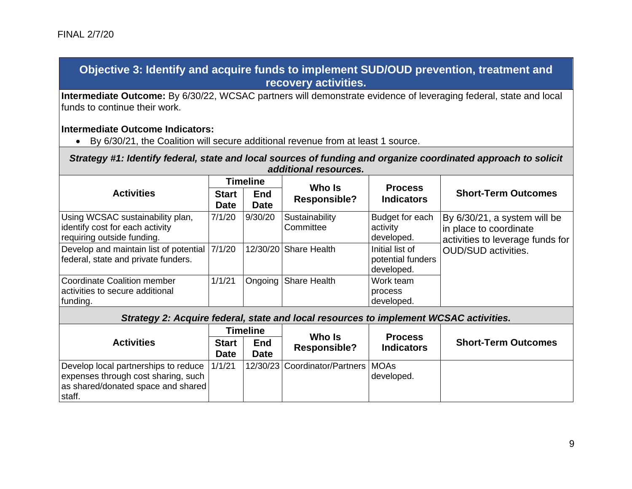# **Objective 3: Identify and acquire funds to implement SUD/OUD prevention, treatment and recovery activities.**

**Intermediate Outcome:** By 6/30/22, WCSAC partners will demonstrate evidence of leveraging federal, state and local funds to continue their work.

## **Intermediate Outcome Indicators:**

• By 6/30/21, the Coalition will secure additional revenue from at least 1 source.

*Strategy #1: Identify federal, state and local sources of funding and organize coordinated approach to solicit additional resources.*

|                                                                                                   |                             | <b>Timeline</b>           | Who Is                      |                                                    |                                                                                            |
|---------------------------------------------------------------------------------------------------|-----------------------------|---------------------------|-----------------------------|----------------------------------------------------|--------------------------------------------------------------------------------------------|
| <b>Activities</b>                                                                                 | <b>Start</b><br><b>Date</b> | <b>End</b><br><b>Date</b> | <b>Responsible?</b>         | <b>Process</b><br><b>Indicators</b>                | <b>Short-Term Outcomes</b>                                                                 |
| Using WCSAC sustainability plan,<br>identify cost for each activity<br>requiring outside funding. | 7/1/20                      | 9/30/20                   | Sustainability<br>Committee | Budget for each<br>activity<br>developed.          | By 6/30/21, a system will be<br>in place to coordinate<br>activities to leverage funds for |
| Develop and maintain list of potential 7/1/20<br>federal, state and private funders.              |                             |                           | 12/30/20 Share Health       | Initial list of<br>potential funders<br>developed. | OUD/SUD activities.                                                                        |
| Coordinate Coalition member<br>activities to secure additional<br>funding.                        | 1/1/21                      |                           | Ongoing Share Health        | Work team<br>process<br>developed.                 |                                                                                            |

*Strategy 2: Acquire federal, state and local resources to implement WCSAC activities.*

|                                                                                                                                    |                             | <b>Timeline</b>           | Who Is                               |                                     |                            |
|------------------------------------------------------------------------------------------------------------------------------------|-----------------------------|---------------------------|--------------------------------------|-------------------------------------|----------------------------|
| <b>Activities</b>                                                                                                                  | <b>Start</b><br><b>Date</b> | <b>End</b><br><b>Date</b> | <b>Responsible?</b>                  | <b>Process</b><br><b>Indicators</b> | <b>Short-Term Outcomes</b> |
| Develop local partnerships to reduce 1/1/21<br>expenses through cost sharing, such<br>as shared/donated space and shared<br>staff. |                             |                           | 12/30/23 Coordinator/Partners   MOAs | developed.                          |                            |